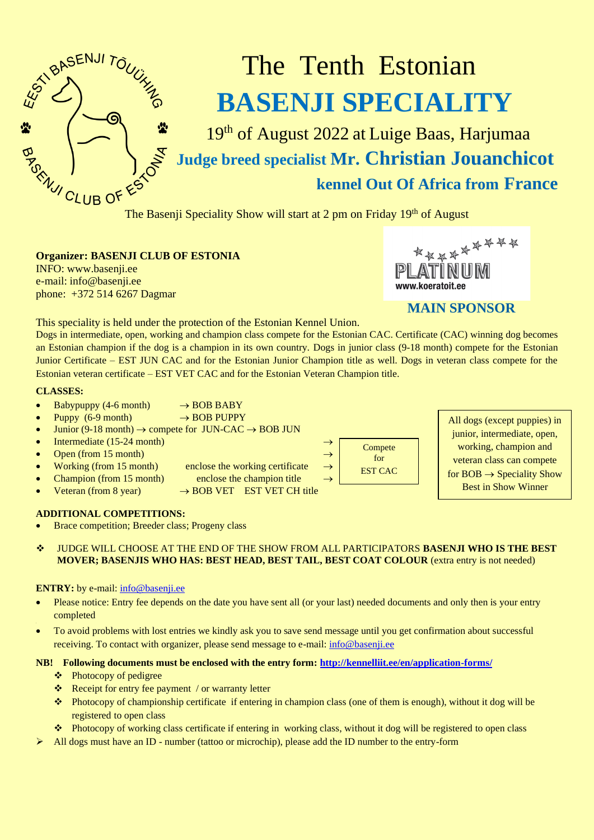

# The Tenth Estonian **BASENJI SPECIALITY**

19<sup>th</sup> of August 2022 at Luige Baas, Harjumaa **Judge breed specialist Mr. Christian Jouanchicot kennel Out Of Africa from France**

The Basenji Speciality Show will start at 2 pm on Friday 19<sup>th</sup> of August

### **Organizer: BASENJI CLUB OF ESTONIA**

INFO: [www.basenji.ee](http://www.basenji.ee/) e-mail: [info@basenji.ee](mailto:info@basenji.ee) phone: +372 514 6267 Dagmar



## **MAIN SPONSOR**

This speciality is held under the protection of the Estonian Kennel Union.

Dogs in intermediate, open, working and champion class compete for the Estonian CAC. Certificate (CAC) winning dog becomes an Estonian champion if the dog is a champion in its own country. Dogs in junior class (9-18 month) compete for the Estonian Junior Certificate – EST JUN CAC and for the Estonian Junior Champion title as well. Dogs in veteran class compete for the Estonian veteran certificate – EST VET CAC and for the Estonian Veteran Champion title.

#### **CLASSES:**

- $B$ abypuppy (4-6 month)  $\rightarrow$  BOB BABY
- Puppy  $(6-9 \text{ month}) \rightarrow BOB PUPPY$
- Junior (9-18 month)  $\rightarrow$  compete for JUN-CAC  $\rightarrow$  BOB JUN
- Intermediate (15-24 month)  $\rightarrow$
- Open (from 15 month)  $\rightarrow$
- Working (from 15 month) enclose the working certificate  $\rightarrow$
- Champion (from 15 month) enclose the champion title
- Veteran (from 8 year)  $\rightarrow$  BOB VET EST VET CH title

#### **ADDITIONAL COMPETITIONS:**

- Brace competition; Breeder class; Progeny class
- ❖ JUDGE WILL CHOOSE AT THE END OF THE SHOW FROM ALL PARTICIPATORS **BASENJI WHO IS THE BEST MOVER; BASENJIS WHO HAS: BEST HEAD, BEST TAIL, BEST COAT COLOUR** (extra entry is not needed)

#### **ENTRY:** by e-mail: [info@basenji.ee](mailto:info@basenji.ee)

- Please notice: Entry fee depends on the date you have sent all (or your last) needed documents and only then is your entry completed
- To avoid problems with lost entries we kindly ask you to save send message until you get confirmation about successful receiving. To contact with organizer, please send message to e-mail: [info@basenji.ee](mailto:info@basenji.ee)

#### **NB! Following documents must be enclosed with the entry form[: http://kennelliit.ee/en/application-forms/](http://kennelliit.ee/en/application-forms/)**

- ❖ Photocopy of pedigree
- ❖ Receipt for entry fee payment / or warranty letter
- ❖ Photocopy of championship certificate if entering in champion class (one of them is enough), without it dog will be registered to open class
- ❖ Photocopy of working class certificate if entering in working class, without it dog will be registered to open class
- All dogs must have an ID number (tattoo or microchip), please add the ID number to the entry-form



All dogs (except puppies) in junior, intermediate, open, working, champion and veteran class can compete for  $BOB \rightarrow Speciality Show$ Best in Show Winner